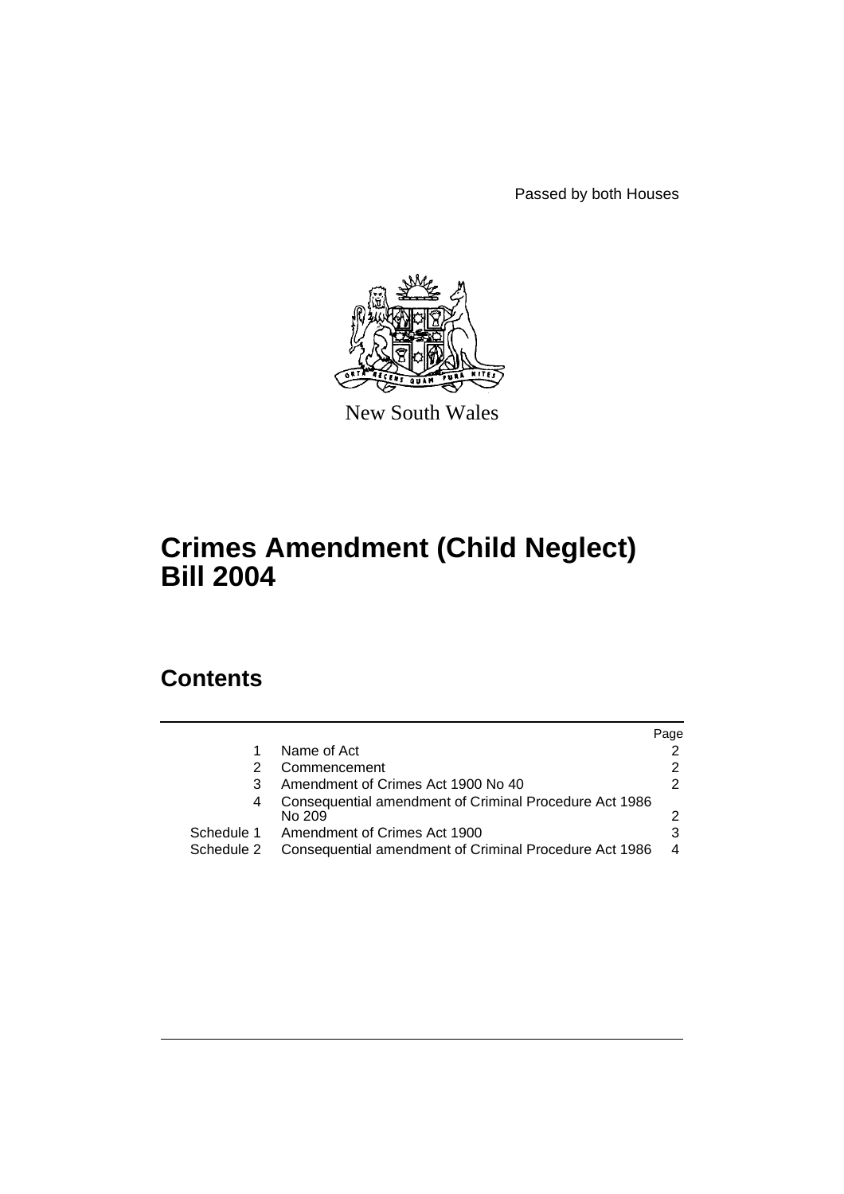Passed by both Houses



New South Wales

# **Crimes Amendment (Child Neglect) Bill 2004**

# **Contents**

|            |                                                                  | Page |
|------------|------------------------------------------------------------------|------|
|            | Name of Act                                                      |      |
|            | Commencement                                                     |      |
| 3          | Amendment of Crimes Act 1900 No 40                               |      |
| 4          | Consequential amendment of Criminal Procedure Act 1986<br>No 209 |      |
| Schedule 1 | Amendment of Crimes Act 1900                                     |      |
| Schedule 2 | Consequential amendment of Criminal Procedure Act 1986           | 4    |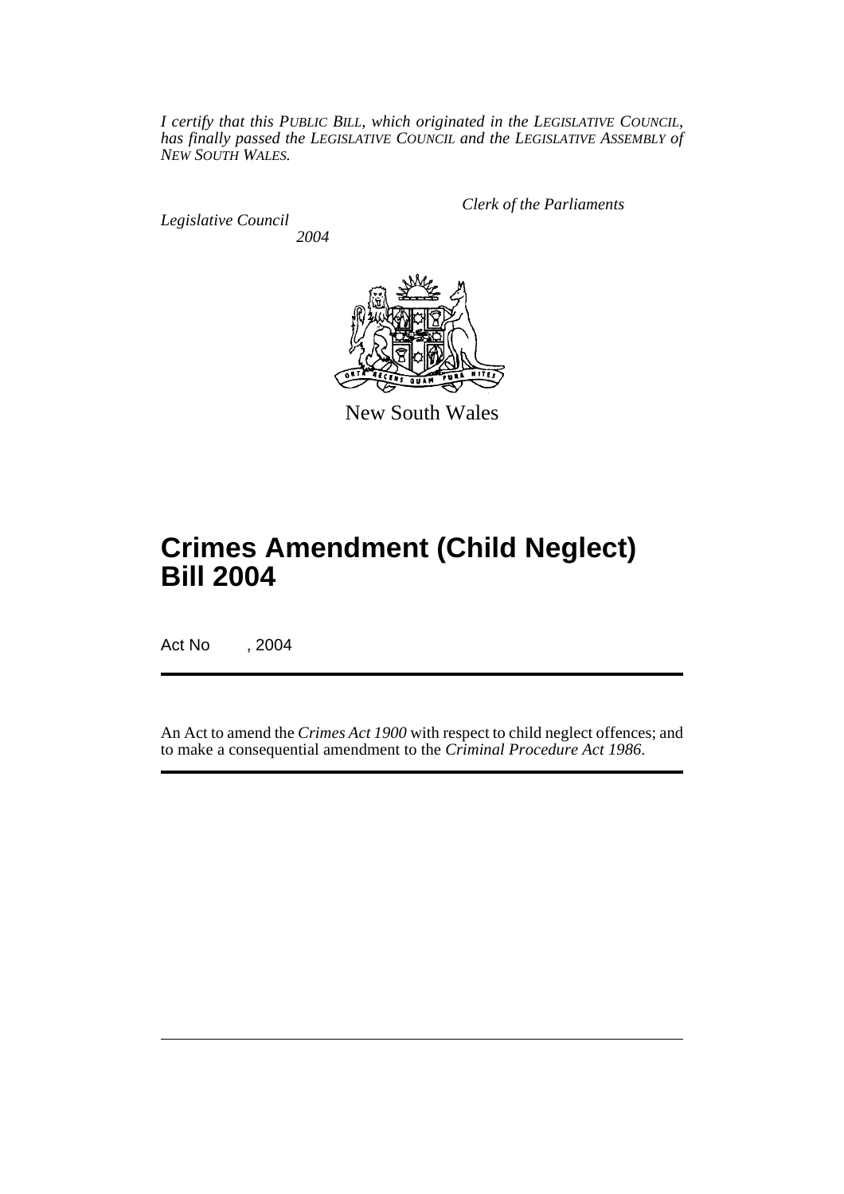*I certify that this PUBLIC BILL, which originated in the LEGISLATIVE COUNCIL, has finally passed the LEGISLATIVE COUNCIL and the LEGISLATIVE ASSEMBLY of NEW SOUTH WALES.*

*Legislative Council 2004* *Clerk of the Parliaments*



New South Wales

# **Crimes Amendment (Child Neglect) Bill 2004**

Act No , 2004

An Act to amend the *Crimes Act 1900* with respect to child neglect offences; and to make a consequential amendment to the *Criminal Procedure Act 1986*.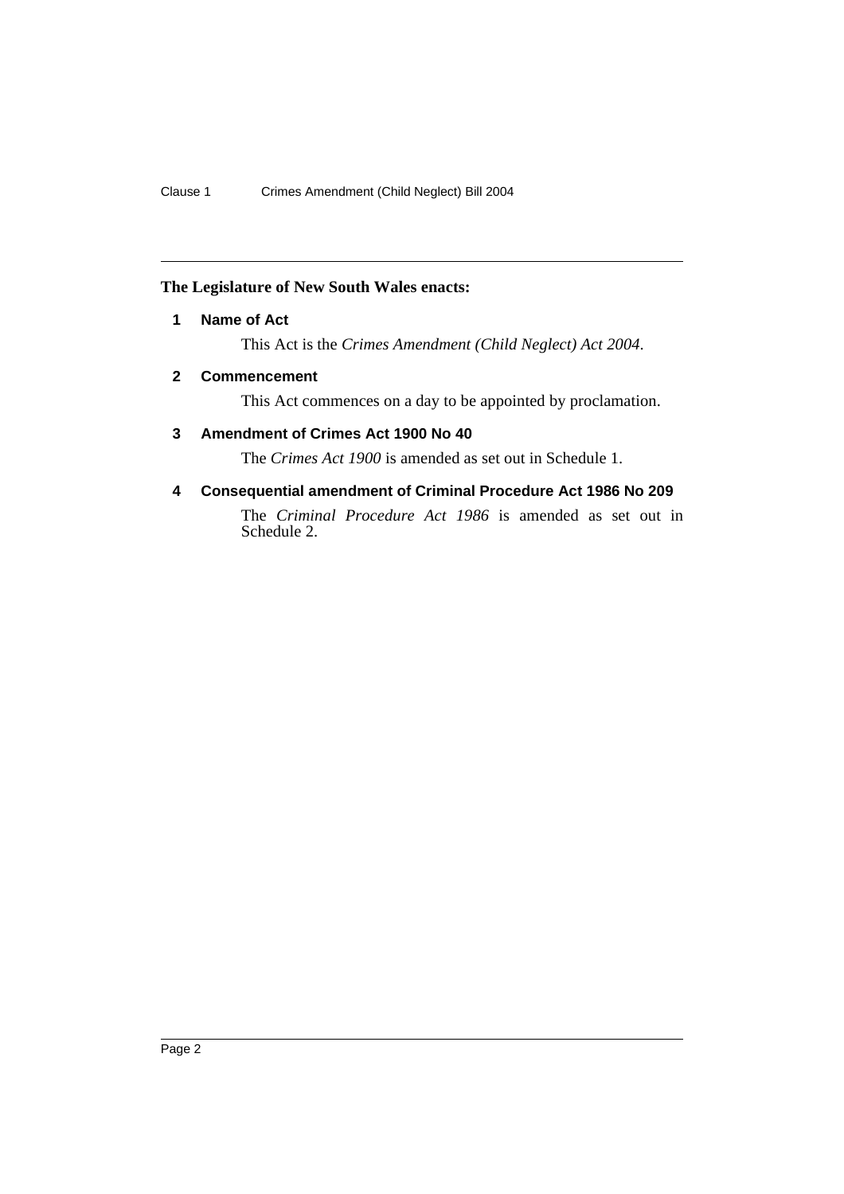## **The Legislature of New South Wales enacts:**

## **1 Name of Act**

This Act is the *Crimes Amendment (Child Neglect) Act 2004*.

### **2 Commencement**

This Act commences on a day to be appointed by proclamation.

## **3 Amendment of Crimes Act 1900 No 40**

The *Crimes Act 1900* is amended as set out in Schedule 1.

## **4 Consequential amendment of Criminal Procedure Act 1986 No 209**

The *Criminal Procedure Act 1986* is amended as set out in Schedule 2.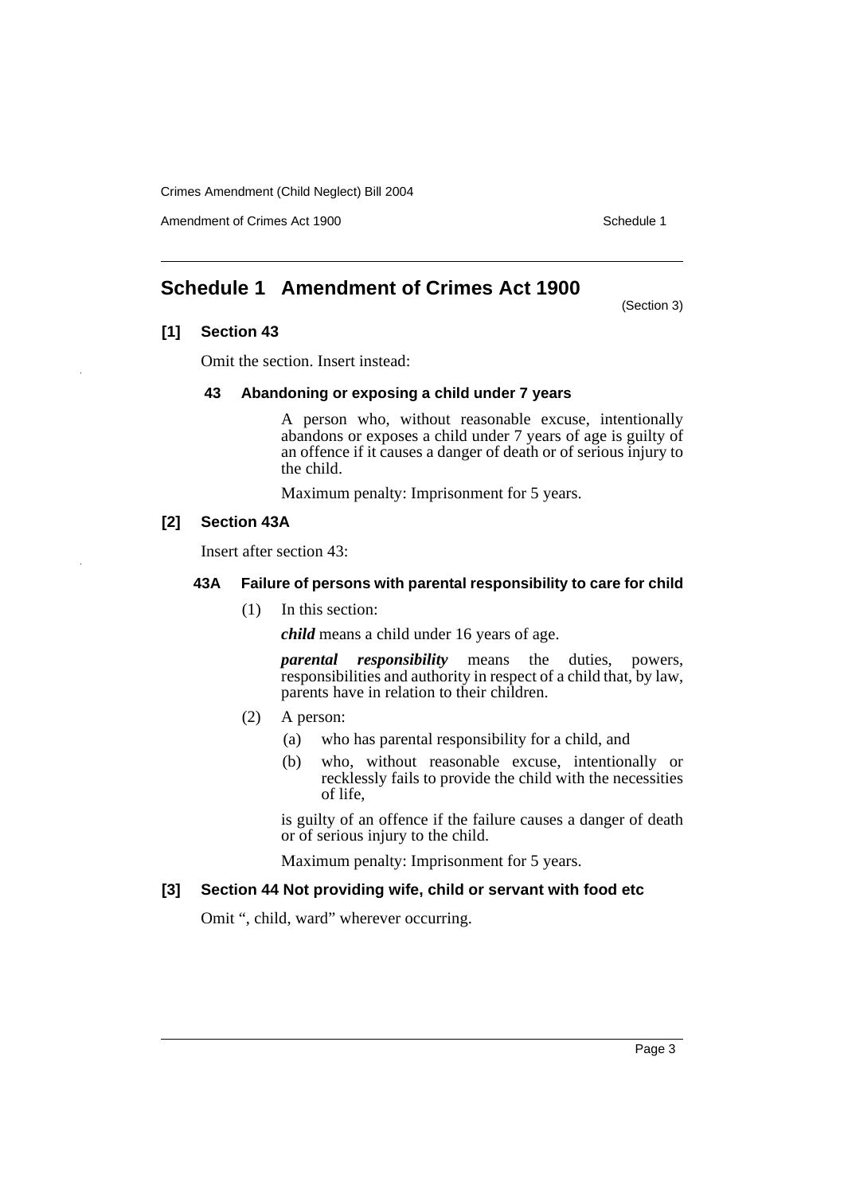Crimes Amendment (Child Neglect) Bill 2004

Amendment of Crimes Act 1900 Schedule 1

# **Schedule 1 Amendment of Crimes Act 1900**

(Section 3)

### **[1] Section 43**

Omit the section. Insert instead:

### **43 Abandoning or exposing a child under 7 years**

A person who, without reasonable excuse, intentionally abandons or exposes a child under 7 years of age is guilty of an offence if it causes a danger of death or of serious injury to the child.

Maximum penalty: Imprisonment for 5 years.

## **[2] Section 43A**

Insert after section 43:

#### **43A Failure of persons with parental responsibility to care for child**

(1) In this section:

*child* means a child under 16 years of age.

*parental responsibility* means the duties, powers, responsibilities and authority in respect of a child that, by law, parents have in relation to their children.

- (2) A person:
	- (a) who has parental responsibility for a child, and
	- (b) who, without reasonable excuse, intentionally or recklessly fails to provide the child with the necessities of life,

is guilty of an offence if the failure causes a danger of death or of serious injury to the child.

Maximum penalty: Imprisonment for 5 years.

### **[3] Section 44 Not providing wife, child or servant with food etc**

Omit ", child, ward" wherever occurring.